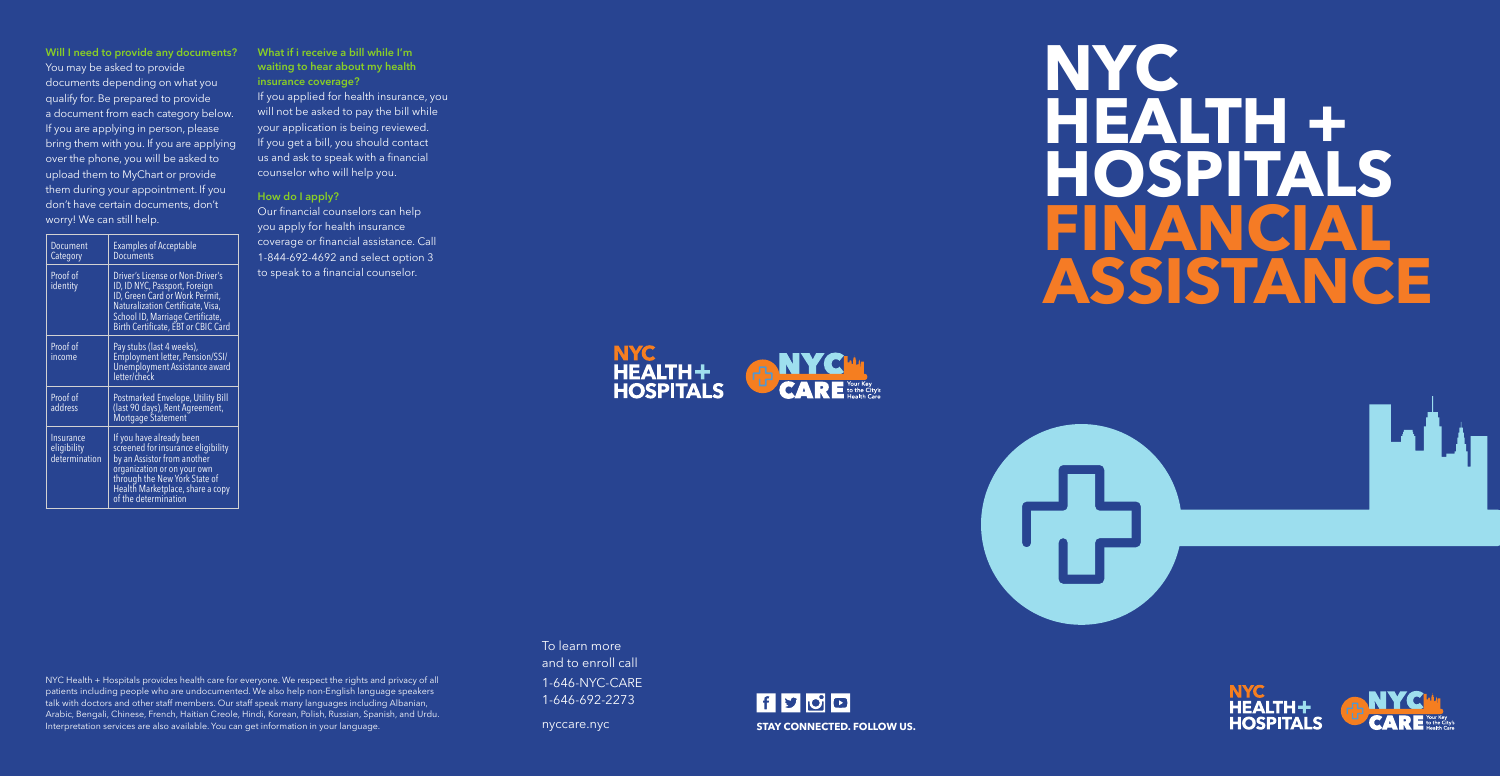# **NYC HEALTH + HOSPITALS FINANCIAL ASSISTANCE**



**Will I need to provide any documents?** You may be asked to provide documents depending on what you qualify for. Be prepared to provide a document from each category below. If you are applying in person, please bring them with you. If you are applying over the phone, you will be asked to upload them to MyChart or provide them during your appointment. If you don't have certain documents, don't worry! We can still help.

| Document<br>Category                      | <b>Examples of Acceptable</b><br><b>Documents</b>                                                                                                                                                                         |
|-------------------------------------------|---------------------------------------------------------------------------------------------------------------------------------------------------------------------------------------------------------------------------|
| Proof of<br>identity                      | Driver's License or Non-Driver's<br>ID, ID NYC, Passport, Foreign<br>ID, Green Card or Work Permit,<br>Naturalization Certificate, Visa,<br>School ID, Marriage Certificate,<br>Birth Certificate, EBT or CBIC Card       |
| Proof of<br>income                        | Pay stubs (last 4 weeks),<br>Employment letter, Pension/SSI/<br>Unemployment Assistance award<br>letter/check                                                                                                             |
| Proof of<br>address                       | Postmarked Envelope, Utility Bill<br>(last 90 days), Rent Agreement,<br>Mortgage Statement                                                                                                                                |
| Insurance<br>eligibility<br>determination | If you have already been<br>screened for insurance eligibility<br>by an Assistor from another<br>organization or on your own<br>through the New York State of<br>Health Marketplace, share a copy<br>of the determination |

#### **What if i receive a bill while I'm waiting to hear about my health insurance coverage?**

If you applied for health insurance, you will not be asked to pay the bill while your application is being reviewed. If you get a bill, you should contact us and ask to speak with a financial counselor who will help you.

#### **How do I apply?**

Our financial counselors can help you apply for health insurance coverage or financial assistance. Call 1-844-692-4692 and select option 3 to speak to a financial counselor.

NYC Health + Hospitals provides health care for everyone. We respect the rights and privacy of all patients including people who are undocumented. We also help non-English language speakers talk with doctors and other staff members. Our staff speak many languages including Albanian, Arabic, Bengali, Chinese, French, Haitian Creole, Hindi, Korean, Polish, Russian, Spanish, and Urdu. Interpretation services are also available. You can get information in your language.





To learn more and to enroll call 1-646-NYC-CARE 1-646-692-2273